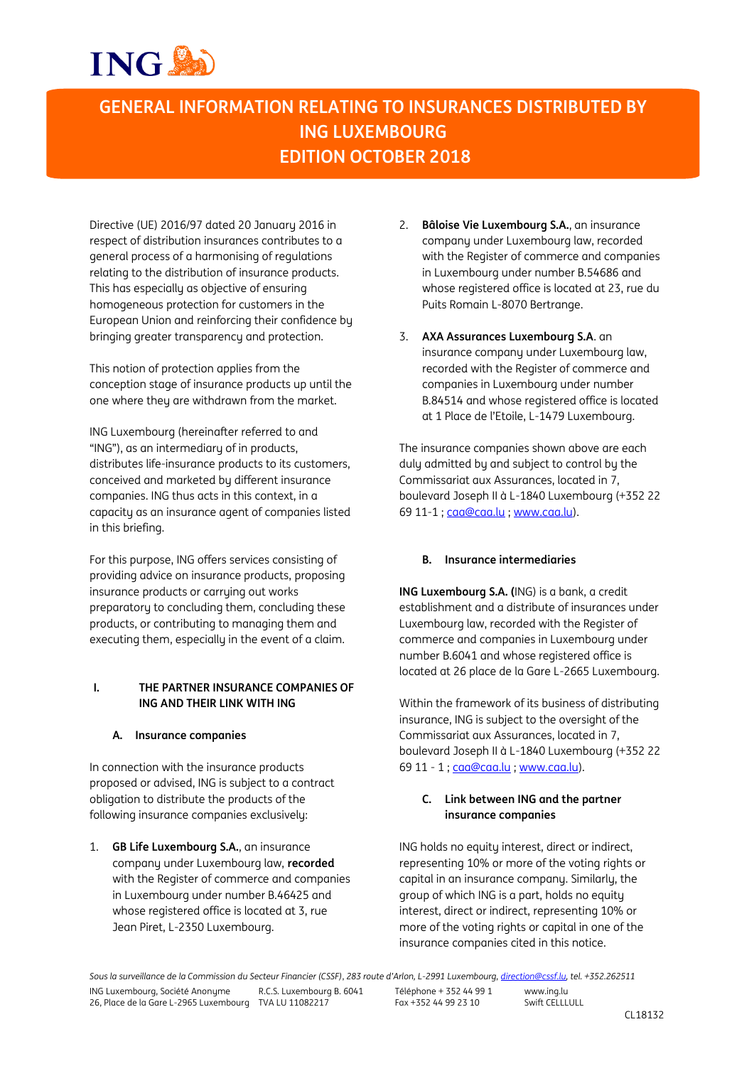## **GENERAL INFORMATION RELATING TO INSURANCES DISTRIBUTED BY ING LUXEMBOURG EDITION OCTOBER 2018**

Directive (UE) 2016/97 dated 20 January 2016 in respect of distribution insurances contributes to a general process of a harmonising of regulations relating to the distribution of insurance products. This has especially as objective of ensuring homogeneous protection for customers in the European Union and reinforcing their confidence by bringing greater transparency and protection.

This notion of protection applies from the conception stage of insurance products up until the one where they are withdrawn from the market.

ING Luxembourg (hereinafter referred to and "ING"), as an intermediary of in products, distributes life-insurance products to its customers, conceived and marketed by different insurance companies. ING thus acts in this context, in a capacity as an insurance agent of companies listed in this briefing.

For this purpose, ING offers services consisting of providing advice on insurance products, proposing insurance products or carrying out works preparatory to concluding them, concluding these products, or contributing to managing them and executing them, especially in the event of a claim.

#### **I. THE PARTNER INSURANCE COMPANIES OF ING AND THEIR LINK WITH ING**

#### **A. Insurance companies**

In connection with the insurance products proposed or advised, ING is subject to a contract obligation to distribute the products of the following insurance companies exclusively:

1. **GB Life Luxembourg S.A.**, an insurance company under Luxembourg law, **recorded** with the Register of commerce and companies in Luxembourg under number B.46425 and whose registered office is located at 3, rue Jean Piret, L-2350 Luxembourg.

- 2. **Bâloise Vie Luxembourg S.A.**, an insurance company under Luxembourg law, recorded with the Register of commerce and companies in Luxembourg under number B.54686 and whose registered office is located at 23, rue du Puits Romain L-8070 Bertrange.
- 3. **AXA Assurances Luxembourg S.A**. an insurance company under Luxembourg law, recorded with the Register of commerce and companies in Luxembourg under number B.84514 and whose registered office is located at 1 Place de l'Etoile, L-1479 Luxembourg.

The insurance companies shown above are each duly admitted by and subject to control by the Commissariat aux Assurances, located in 7, boulevard Joseph II à L-1840 Luxembourg (+352 22 69 11-1 ; caa@caa.lu ; www.caa.lu).

### **B. Insurance intermediaries**

**ING Luxembourg S.A. (**ING) is a bank, a credit establishment and a distribute of insurances under Luxembourg law, recorded with the Register of commerce and companies in Luxembourg under number B.6041 and whose registered office is located at 26 place de la Gare L-2665 Luxembourg.

Within the framework of its business of distributing insurance, ING is subject to the oversight of the Commissariat aux Assurances, located in 7, boulevard Joseph II à L-1840 Luxembourg (+352 22 69 11 - 1 ; caa@caa.lu ; www.caa.lu).

#### **C. Link between ING and the partner insurance companies**

ING holds no equity interest, direct or indirect, representing 10% or more of the voting rights or capital in an insurance company. Similarly, the group of which ING is a part, holds no equity interest, direct or indirect, representing 10% or more of the voting rights or capital in one of the insurance companies cited in this notice.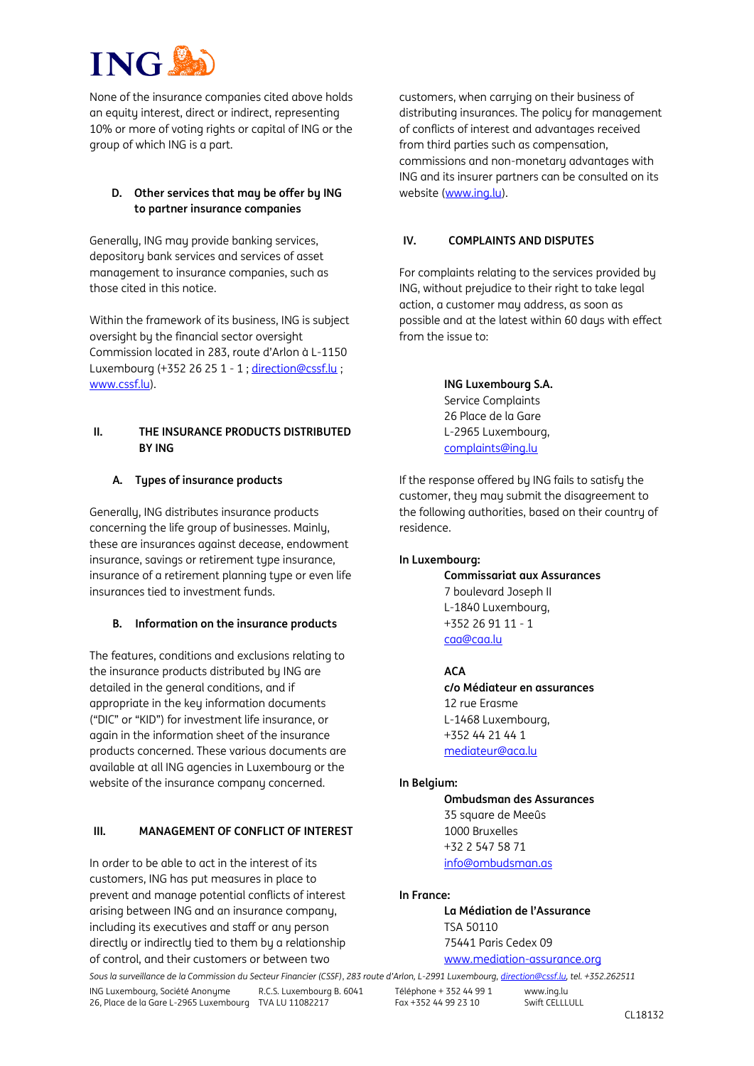None of the insurance companies cited above holds an equity interest, direct or indirect, representing 10% or more of voting rights or capital of ING or the group of which ING is a part.

### **D. Other services that may be offer by ING to partner insurance companies**

Generally, ING may provide banking services, depository bank services and services of asset management to insurance companies, such as those cited in this notice.

Within the framework of its business, ING is subject oversight by the financial sector oversight Commission located in 283, route d'Arlon à L-1150 Luxembourg (+352 26 25 1 - 1 ; direction@cssf.lu ; www.cssf.lu).

#### **II. THE INSURANCE PRODUCTS DISTRIBUTED BY ING**

### **A. Types of insurance products**

Generally, ING distributes insurance products concerning the life group of businesses. Mainly, these are insurances against decease, endowment insurance, savings or retirement type insurance, insurance of a retirement planning type or even life insurances tied to investment funds.

#### **B. Information on the insurance products**

The features, conditions and exclusions relating to the insurance products distributed by ING are detailed in the general conditions, and if appropriate in the key information documents ("DIC" or "KID") for investment life insurance, or again in the information sheet of the insurance products concerned. These various documents are available at all ING agencies in Luxembourg or the website of the insurance company concerned.

#### **III. MANAGEMENT OF CONFLICT OF INTEREST**

In order to be able to act in the interest of its customers, ING has put measures in place to prevent and manage potential conflicts of interest arising between ING and an insurance company, including its executives and staff or any person directly or indirectly tied to them by a relationship of control, and their customers or between two

customers, when carrying on their business of distributing insurances. The policy for management of conflicts of interest and advantages received from third parties such as compensation, commissions and non-monetary advantages with ING and its insurer partners can be consulted on its website [\(www.ing.lu\)](http://www.ing.lu/).

#### **IV. COMPLAINTS AND DISPUTES**

For complaints relating to the services provided by ING, without prejudice to their right to take legal action, a customer may address, as soon as possible and at the latest within 60 days with effect from the issue to:

> **ING Luxembourg S.A.** Service Complaints 26 Place de la Gare L-2965 Luxembourg, complaints@ing.lu

If the response offered by ING fails to satisfy the customer, they may submit the disagreement to the following authorities, based on their country of residence.

#### **In Luxembourg:**

**Commissariat aux Assurances** 7 boulevard Joseph II L-1840 Luxembourg, +352 26 91 11 - 1 caa@caa.lu

#### **ACA c/o Médiateur en assurances** 12 rue Erasme L-1468 Luxembourg, +352 44 21 44 1 mediateur@aca.lu

#### **In Belgium:**

**Ombudsman des Assurances** 35 square de Meeûs 1000 Bruxelles +32 2 547 58 71 info@ombudsman.as

#### **In France:**

**La Médiation de l'Assurance** TSA 50110 75441 Paris Cedex 09 www.mediation-assurance.org

*Sous la surveillance de la Commission du Secteur Financier (CSSF)*, *283 route d'Arlon, L-2991 Luxembourg, direction@cssf.lu, tel. +352.262511*

ING Luxembourg, Société Anonyme 26, Place de la Gare L-2965 Luxembourg TVA LU 11082217 R.C.S. Luxembourg B. 6041 Téléphone + 352 44 99 1 Fax +352 44 99 23 10

www.ing.lu Swift CELLLULL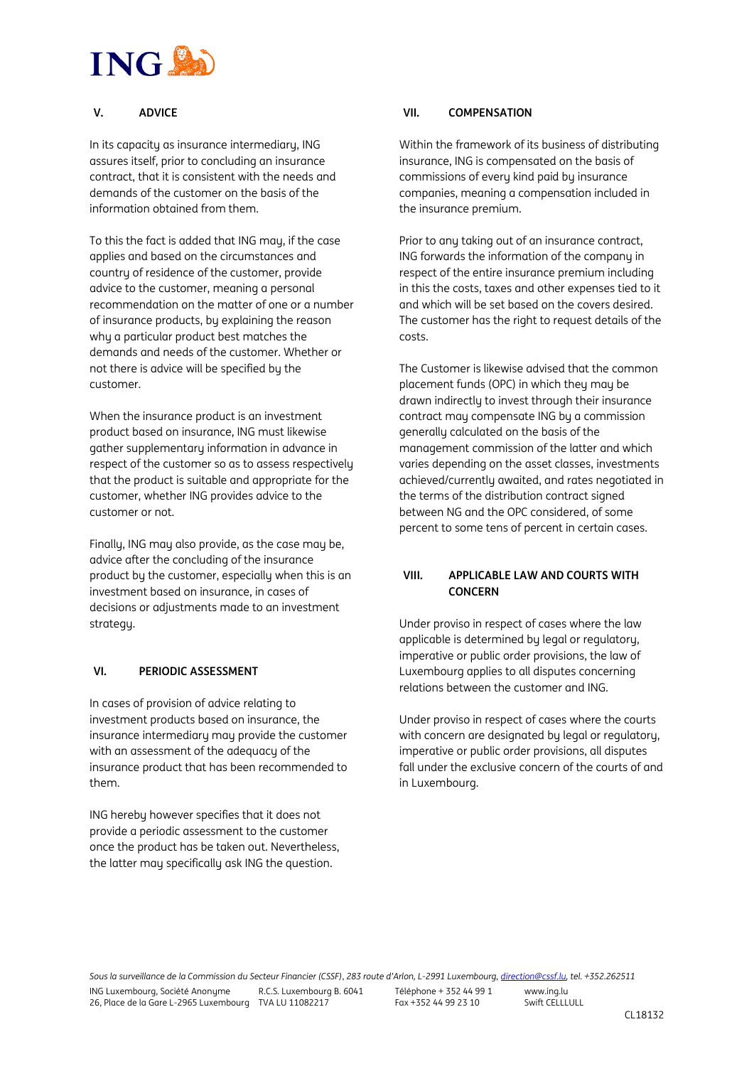#### **V. ADVICE**

In its capacity as insurance intermediary, ING assures itself, prior to concluding an insurance contract, that it is consistent with the needs and demands of the customer on the basis of the information obtained from them.

To this the fact is added that ING may, if the case applies and based on the circumstances and country of residence of the customer, provide advice to the customer, meaning a personal recommendation on the matter of one or a number of insurance products, by explaining the reason why a particular product best matches the demands and needs of the customer. Whether or not there is advice will be specified by the customer.

When the insurance product is an investment product based on insurance, ING must likewise gather supplementary information in advance in respect of the customer so as to assess respectively that the product is suitable and appropriate for the customer, whether ING provides advice to the customer or not.

Finally, ING may also provide, as the case may be, advice after the concluding of the insurance product by the customer, especially when this is an investment based on insurance, in cases of decisions or adjustments made to an investment strategy.

#### **VI. PERIODIC ASSESSMENT**

In cases of provision of advice relating to investment products based on insurance, the insurance intermediary may provide the customer with an assessment of the adequacy of the insurance product that has been recommended to them.

ING hereby however specifies that it does not provide a periodic assessment to the customer once the product has be taken out. Nevertheless, the latter may specifically ask ING the question.

#### **VII. COMPENSATION**

Within the framework of its business of distributing insurance, ING is compensated on the basis of commissions of every kind paid by insurance companies, meaning a compensation included in the insurance premium.

Prior to any taking out of an insurance contract, ING forwards the information of the company in respect of the entire insurance premium including in this the costs, taxes and other expenses tied to it and which will be set based on the covers desired. The customer has the right to request details of the costs.

The Customer is likewise advised that the common placement funds (OPC) in which they may be drawn indirectly to invest through their insurance contract may compensate ING by a commission generally calculated on the basis of the management commission of the latter and which varies depending on the asset classes, investments achieved/currently awaited, and rates negotiated in the terms of the distribution contract signed between NG and the OPC considered, of some percent to some tens of percent in certain cases.

#### **VIII. APPLICABLE LAW AND COURTS WITH CONCERN**

Under proviso in respect of cases where the law applicable is determined by legal or regulatory, imperative or public order provisions, the law of Luxembourg applies to all disputes concerning relations between the customer and ING.

Under proviso in respect of cases where the courts with concern are designated by legal or regulatory, imperative or public order provisions, all disputes fall under the exclusive concern of the courts of and in Luxembourg.